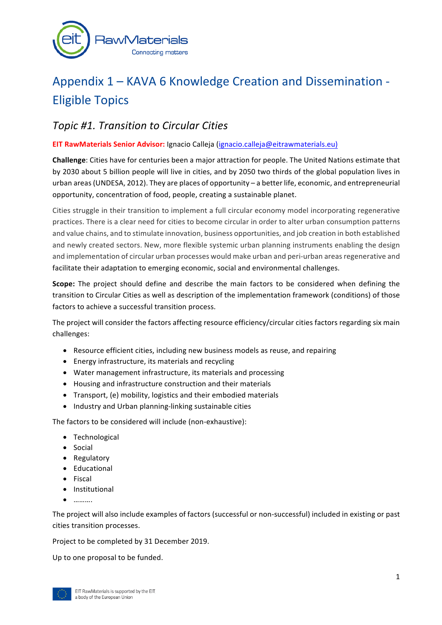

# Appendix 1 – KAVA 6 Knowledge Creation and Dissemination -Eligible Topics

## *Topic #1. Transition to Circular Cities*

### **EIT RawMaterials Senior Advisor:** Ignacio Calleja (ignacio.calleja@eitrawmaterials.eu)

**Challenge:** Cities have for centuries been a major attraction for people. The United Nations estimate that by 2030 about 5 billion people will live in cities, and by 2050 two thirds of the global population lives in urban areas (UNDESA, 2012). They are places of opportunity – a better life, economic, and entrepreneurial opportunity, concentration of food, people, creating a sustainable planet.

Cities struggle in their transition to implement a full circular economy model incorporating regenerative practices. There is a clear need for cities to become circular in order to alter urban consumption patterns and value chains, and to stimulate innovation, business opportunities, and job creation in both established and newly created sectors. New, more flexible systemic urban planning instruments enabling the design and implementation of circular urban processes would make urban and peri-urban areas regenerative and facilitate their adaptation to emerging economic, social and environmental challenges.

**Scope:** The project should define and describe the main factors to be considered when defining the transition to Circular Cities as well as description of the implementation framework (conditions) of those factors to achieve a successful transition process.

The project will consider the factors affecting resource efficiency/circular cities factors regarding six main challenges:

- Resource efficient cities, including new business models as reuse, and repairing
- Energy infrastructure, its materials and recycling
- Water management infrastructure, its materials and processing
- Housing and infrastructure construction and their materials
- Transport, (e) mobility, logistics and their embodied materials
- Industry and Urban planning-linking sustainable cities

The factors to be considered will include (non-exhaustive):

- Technological
- Social
- Regulatory
- Educational
- Fiscal
- Institutional
- ……….

The project will also include examples of factors (successful or non-successful) included in existing or past cities transition processes.

Project to be completed by 31 December 2019.

Up to one proposal to be funded.

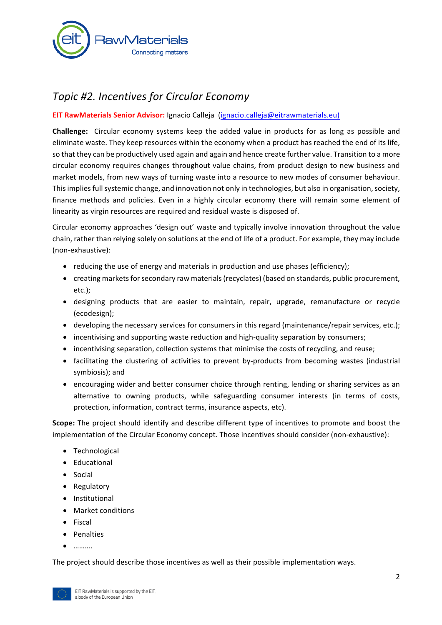

## *Topic #2. Incentives for Circular Economy*

#### **EIT RawMaterials Senior Advisor:** Ignacio Calleja (ignacio.calleja@eitrawmaterials.eu)

**Challenge:** Circular economy systems keep the added value in products for as long as possible and eliminate waste. They keep resources within the economy when a product has reached the end of its life, so that they can be productively used again and again and hence create further value. Transition to a more circular economy requires changes throughout value chains, from product design to new business and market models, from new ways of turning waste into a resource to new modes of consumer behaviour. This implies full systemic change, and innovation not only in technologies, but also in organisation, society, finance methods and policies. Even in a highly circular economy there will remain some element of linearity as virgin resources are required and residual waste is disposed of.

Circular economy approaches 'design out' waste and typically involve innovation throughout the value chain, rather than relying solely on solutions at the end of life of a product. For example, they may include (non-exhaustive):

- reducing the use of energy and materials in production and use phases (efficiency);
- creating markets for secondary raw materials (recyclates) (based on standards, public procurement, etc.);
- designing products that are easier to maintain, repair, upgrade, remanufacture or recycle (ecodesign);
- developing the necessary services for consumers in this regard (maintenance/repair services, etc.);
- incentivising and supporting waste reduction and high-quality separation by consumers;
- incentivising separation, collection systems that minimise the costs of recycling, and reuse;
- facilitating the clustering of activities to prevent by-products from becoming wastes (industrial symbiosis); and
- encouraging wider and better consumer choice through renting, lending or sharing services as an alternative to owning products, while safeguarding consumer interests (in terms of costs, protection, information, contract terms, insurance aspects, etc).

**Scope:** The project should identify and describe different type of incentives to promote and boost the implementation of the Circular Economy concept. Those incentives should consider (non-exhaustive):

- Technological
- Educational
- Social
- Regulatory
- Institutional
- Market conditions
- Fiscal
- Penalties
- ……….

The project should describe those incentives as well as their possible implementation ways.

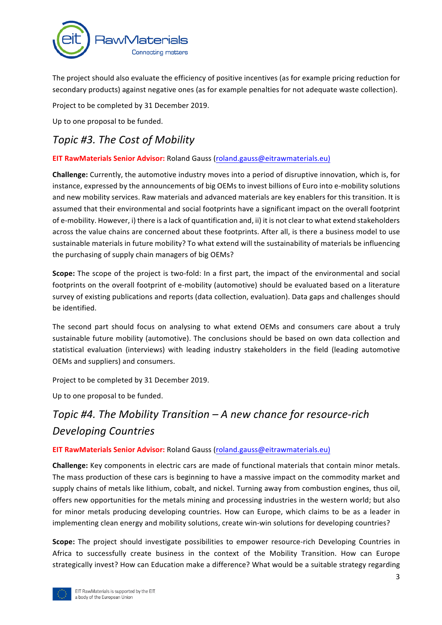

The project should also evaluate the efficiency of positive incentives (as for example pricing reduction for secondary products) against negative ones (as for example penalties for not adequate waste collection).

Project to be completed by 31 December 2019.

Up to one proposal to be funded.

## *Topic #3. The Cost of Mobility*

### **EIT RawMaterials Senior Advisor:** Roland Gauss (roland.gauss@eitrawmaterials.eu)

**Challenge:** Currently, the automotive industry moves into a period of disruptive innovation, which is, for instance, expressed by the announcements of big OEMs to invest billions of Euro into e-mobility solutions and new mobility services. Raw materials and advanced materials are key enablers for this transition. It is assumed that their environmental and social footprints have a significant impact on the overall footprint of e-mobility. However, i) there is a lack of quantification and, ii) it is not clear to what extend stakeholders across the value chains are concerned about these footprints. After all, is there a business model to use sustainable materials in future mobility? To what extend will the sustainability of materials be influencing the purchasing of supply chain managers of big OEMs?

**Scope:** The scope of the project is two-fold: In a first part, the impact of the environmental and social footprints on the overall footprint of e-mobility (automotive) should be evaluated based on a literature survey of existing publications and reports (data collection, evaluation). Data gaps and challenges should be identified.

The second part should focus on analysing to what extend OEMs and consumers care about a truly sustainable future mobility (automotive). The conclusions should be based on own data collection and statistical evaluation (interviews) with leading industry stakeholders in the field (leading automotive OEMs and suppliers) and consumers.

Project to be completed by 31 December 2019.

Up to one proposal to be funded.

## *Topic #4. The Mobility Transition* – A new chance for resource-rich *Developing Countries*

### **EIT RawMaterials Senior Advisor:** Roland Gauss (roland.gauss@eitrawmaterials.eu)

**Challenge:** Key components in electric cars are made of functional materials that contain minor metals. The mass production of these cars is beginning to have a massive impact on the commodity market and supply chains of metals like lithium, cobalt, and nickel. Turning away from combustion engines, thus oil, offers new opportunities for the metals mining and processing industries in the western world; but also for minor metals producing developing countries. How can Europe, which claims to be as a leader in implementing clean energy and mobility solutions, create win-win solutions for developing countries?

**Scope:** The project should investigate possibilities to empower resource-rich Developing Countries in Africa to successfully create business in the context of the Mobility Transition. How can Europe strategically invest? How can Education make a difference? What would be a suitable strategy regarding

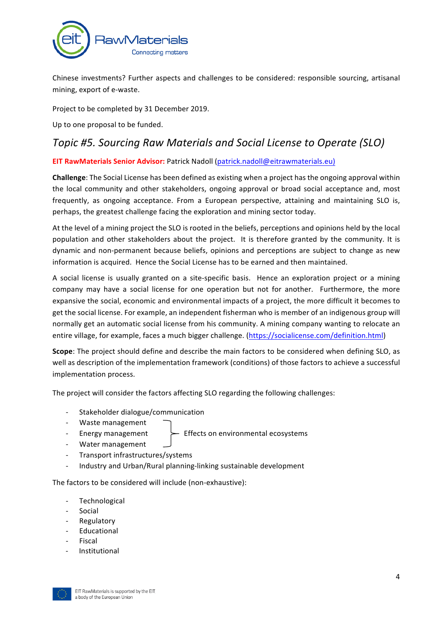

Chinese investments? Further aspects and challenges to be considered: responsible sourcing, artisanal mining, export of e-waste.

Project to be completed by 31 December 2019.

Up to one proposal to be funded.

## *Topic #5. Sourcing Raw Materials and Social License to Operate (SLO)*

### **EIT RawMaterials Senior Advisor: Patrick Nadoll (patrick.nadoll@eitrawmaterials.eu)**

**Challenge**: The Social License has been defined as existing when a project has the ongoing approval within the local community and other stakeholders, ongoing approval or broad social acceptance and, most frequently, as ongoing acceptance. From a European perspective, attaining and maintaining SLO is, perhaps, the greatest challenge facing the exploration and mining sector today.

At the level of a mining project the SLO is rooted in the beliefs, perceptions and opinions held by the local population and other stakeholders about the project. It is therefore granted by the community. It is dynamic and non-permanent because beliefs, opinions and perceptions are subject to change as new information is acquired. Hence the Social License has to be earned and then maintained.

A social license is usually granted on a site-specific basis. Hence an exploration project or a mining company may have a social license for one operation but not for another. Furthermore, the more expansive the social, economic and environmental impacts of a project, the more difficult it becomes to get the social license. For example, an independent fisherman who is member of an indigenous group will normally get an automatic social license from his community. A mining company wanting to relocate an entire village, for example, faces a much bigger challenge. (https://socialicense.com/definition.html)

**Scope**: The project should define and describe the main factors to be considered when defining SLO, as well as description of the implementation framework (conditions) of those factors to achieve a successful implementation process.

The project will consider the factors affecting SLO regarding the following challenges:

- Stakeholder dialogue/communication
- Waste management
- 

- Energy management  $\leftarrow$  Effects on environmental ecosystems

- Water management
- Transport infrastructures/systems
- Industry and Urban/Rural planning-linking sustainable development

The factors to be considered will include (non-exhaustive):

- Technological
- **Social**
- **Regulatory**
- **Educational**
- **Fiscal**
- **Institutional**